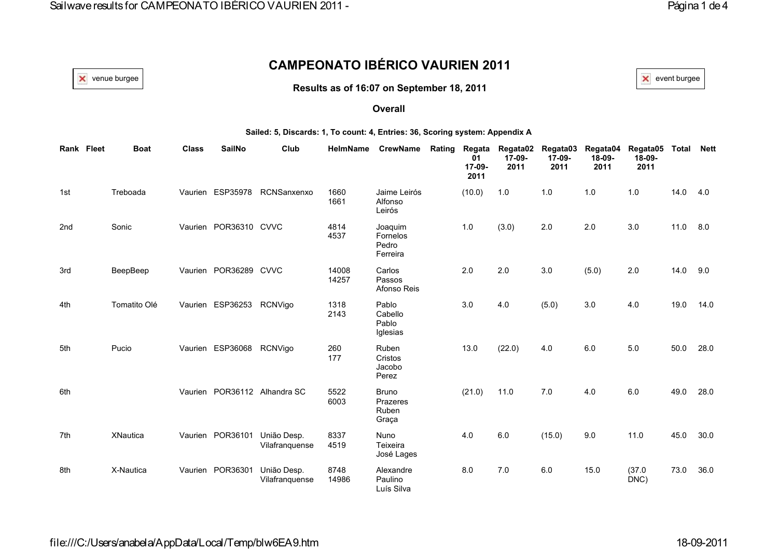# **CAMPEONATO IBÉRICO VAURIEN 2011**

**Results as of 16:07 on September 18, 2011**

venue burgee  $|$   $\times$  event burgee  $|$ 

#### **Overall**

#### **Sailed: 5, Discards: 1, To count: 4, Entries: 36, Scoring system: Appendix A**

| Rank Fleet | <b>Boat</b>     | <b>Class</b> | <b>SailNo</b>            | Club                          | <b>HelmName</b> | <b>CrewName</b>                            | Rating | Regata<br>01<br>17-09-<br>2011 | Regata02<br>17-09-<br>2011 | Regata03<br>17-09-<br>2011 | Regata04<br>18-09-<br>2011 | Regata05<br>18-09-<br>2011 | <b>Total</b> | <b>Nett</b> |
|------------|-----------------|--------------|--------------------------|-------------------------------|-----------------|--------------------------------------------|--------|--------------------------------|----------------------------|----------------------------|----------------------------|----------------------------|--------------|-------------|
| 1st        | Treboada        |              | Vaurien ESP35978         | RCNSanxenxo                   | 1660<br>1661    | Jaime Leirós<br>Alfonso<br>Leirós          |        | (10.0)                         | 1.0                        | 1.0                        | 1.0                        | 1.0                        | 14.0         | 4.0         |
| 2nd        | Sonic           |              | Vaurien POR36310 CVVC    |                               | 4814<br>4537    | Joaquim<br>Fornelos<br>Pedro<br>Ferreira   |        | 1.0                            | (3.0)                      | 2.0                        | 2.0                        | 3.0                        | 11.0         | 8.0         |
| 3rd        | BeepBeep        |              | Vaurien POR36289 CVVC    |                               | 14008<br>14257  | Carlos<br>Passos<br>Afonso Reis            |        | 2.0                            | 2.0                        | 3.0                        | (5.0)                      | 2.0                        | 14.0         | 9.0         |
| 4th        | Tomatito Olé    |              | Vaurien ESP36253         | RCNVigo                       | 1318<br>2143    | Pablo<br>Cabello<br>Pablo<br>Iglesias      |        | 3.0                            | 4.0                        | (5.0)                      | 3.0                        | 4.0                        | 19.0         | 14.0        |
| 5th        | Pucio           |              | Vaurien ESP36068 RCNVigo |                               | 260<br>177      | Ruben<br>Cristos<br>Jacobo<br>Perez        |        | 13.0                           | (22.0)                     | 4.0                        | $6.0\,$                    | $5.0\,$                    | 50.0         | 28.0        |
| 6th        |                 |              |                          | Vaurien POR36112 Alhandra SC  | 5522<br>6003    | <b>Bruno</b><br>Prazeres<br>Ruben<br>Graça |        | (21.0)                         | 11.0                       | 7.0                        | 4.0                        | 6.0                        | 49.0         | 28.0        |
| 7th        | <b>XNautica</b> |              | Vaurien POR36101         | União Desp.<br>Vilafranquense | 8337<br>4519    | <b>Nuno</b><br>Teixeira<br>José Lages      |        | 4.0                            | 6.0                        | (15.0)                     | 9.0                        | 11.0                       | 45.0         | 30.0        |
| 8th        | X-Nautica       |              | Vaurien POR36301         | União Desp.<br>Vilafranquense | 8748<br>14986   | Alexandre<br>Paulino<br>Luís Silva         |        | 8.0                            | 7.0                        | 6.0                        | 15.0                       | (37.0)<br>DNC)             | 73.0         | 36.0        |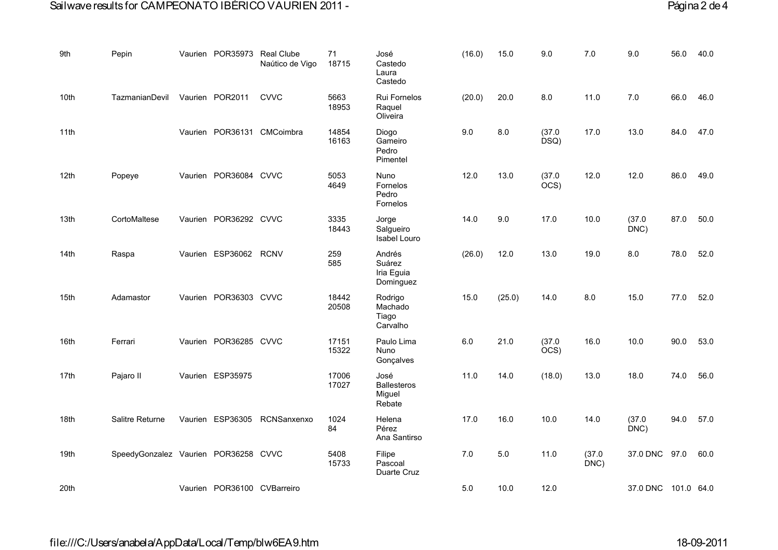## Sailwave results for CAMPEONATO IBÉRICO VAURIEN 2011 - Página 2 de 4

| 9th              | Pepin                                | Vaurien POR35973 Real Clube | Naútico de Vigo            | 71<br>18715    | José<br>Castedo<br>Laura<br>Castedo            | (16.0)  | 15.0   | 9.0                        | 7.0           | 9.0                 | 56.0 | 40.0 |
|------------------|--------------------------------------|-----------------------------|----------------------------|----------------|------------------------------------------------|---------|--------|----------------------------|---------------|---------------------|------|------|
| 10th             | TazmanianDevil                       | Vaurien POR2011             | <b>CVVC</b>                | 5663<br>18953  | Rui Fornelos<br>Raquel<br>Oliveira             | (20.0)  | 20.0   | $8.0\,$                    | 11.0          | 7.0                 | 66.0 | 46.0 |
| 11th             |                                      |                             | Vaurien POR36131 CMCoimbra | 14854<br>16163 | Diogo<br>Gameiro<br>Pedro<br>Pimentel          | 9.0     | 8.0    | (37.0)<br>DSQ)             | 17.0          | 13.0                | 84.0 | 47.0 |
| 12 <sub>th</sub> | Popeye                               | Vaurien POR36084 CVVC       |                            | 5053<br>4649   | <b>Nuno</b><br>Fornelos<br>Pedro<br>Fornelos   | 12.0    | 13.0   | (37.0)<br>OCS)             | 12.0          | 12.0                | 86.0 | 49.0 |
| 13th             | CortoMaltese                         | Vaurien POR36292 CVVC       |                            | 3335<br>18443  | Jorge<br>Salgueiro<br>Isabel Louro             | 14.0    | 9.0    | 17.0                       | 10.0          | (37.0)<br>DNC)      | 87.0 | 50.0 |
| 14th             | Raspa                                | Vaurien ESP36062 RCNV       |                            | 259<br>585     | Andrés<br>Suárez<br>Iria Eguia<br>Dominguez    | (26.0)  | 12.0   | 13.0                       | 19.0          | 8.0                 | 78.0 | 52.0 |
| 15 <sub>th</sub> | Adamastor                            | Vaurien POR36303 CVVC       |                            | 18442<br>20508 | Rodrigo<br>Machado<br>Tiago<br>Carvalho        | 15.0    | (25.0) | 14.0                       | 8.0           | 15.0                | 77.0 | 52.0 |
| 16th             | Ferrari                              | Vaurien POR36285 CVVC       |                            | 17151<br>15322 | Paulo Lima<br>Nuno<br>Gonçalves                | $6.0\,$ | 21.0   | (37.0)<br>$\overline{OCS}$ | 16.0          | 10.0                | 90.0 | 53.0 |
| 17th             | Pajaro II                            | Vaurien ESP35975            |                            | 17006<br>17027 | José<br><b>Ballesteros</b><br>Miguel<br>Rebate | 11.0    | 14.0   | (18.0)                     | 13.0          | 18.0                | 74.0 | 56.0 |
| 18th             | Salitre Returne                      | Vaurien ESP36305            | RCNSanxenxo                | 1024<br>84     | Helena<br>Pérez<br>Ana Santirso                | 17.0    | 16.0   | 10.0                       | 14.0          | (37.0)<br>DNC)      | 94.0 | 57.0 |
| 19th             | SpeedyGonzalez Vaurien POR36258 CVVC |                             |                            | 5408<br>15733  | Filipe<br>Pascoal<br>Duarte Cruz               | 7.0     | $5.0$  | 11.0                       | (37.0)<br>DNC | 37.0 DNC 97.0       |      | 60.0 |
| 20th             |                                      | Vaurien POR36100 CVBarreiro |                            |                |                                                | $5.0\,$ | 10.0   | 12.0                       |               | 37.0 DNC 101.0 64.0 |      |      |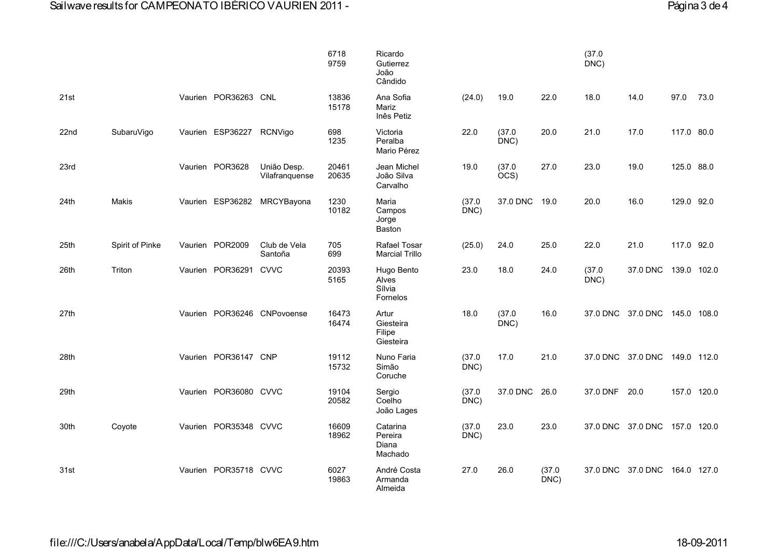|      |                 |         |                       |                               | 6718<br>9759   | Ricardo<br>Gutierrez<br>João<br>Cândido          |                |                |                | (37.0)<br>DNC) |                               |             |      |
|------|-----------------|---------|-----------------------|-------------------------------|----------------|--------------------------------------------------|----------------|----------------|----------------|----------------|-------------------------------|-------------|------|
| 21st |                 |         | Vaurien POR36263 CNL  |                               | 13836<br>15178 | Ana Sofia<br>Mariz<br>Inês Petiz                 | (24.0)         | 19.0           | 22.0           | 18.0           | 14.0                          | 97.0        | 73.0 |
| 22nd | SubaruVigo      | Vaurien | ESP36227              | RCNVigo                       | 698<br>1235    | Victoria<br>Peralba<br>Mario Pérez               | 22.0           | (37.0)<br>DNC) | 20.0           | 21.0           | 17.0                          | 117.0 80.0  |      |
| 23rd |                 |         | Vaurien POR3628       | União Desp.<br>Vilafranquense | 20461<br>20635 | Jean Michel<br>João Silva<br>Carvalho            | 19.0           | (37.0)<br>OCS) | 27.0           | 23.0           | 19.0                          | 125.0 88.0  |      |
| 24th | Makis           |         | Vaurien ESP36282      | MRCYBayona                    | 1230<br>10182  | Maria<br>Campos<br>Jorge<br>Baston               | (37.0)<br>DNC) | 37.0 DNC       | 19.0           | 20.0           | 16.0                          | 129.0 92.0  |      |
| 25th | Spirit of Pinke | Vaurien | POR2009               | Club de Vela<br>Santoña       | 705<br>699     | Rafael Tosar<br><b>Marcial Trillo</b>            | (25.0)         | 24.0           | 25.0           | 22.0           | 21.0                          | 117.0 92.0  |      |
| 26th | Triton          | Vaurien | POR36291              | <b>CVVC</b>                   | 20393<br>5165  | Hugo Bento<br>Alves<br>Sílvia<br><b>Fornelos</b> | 23.0           | 18.0           | 24.0           | (37.0)<br>DNC) | 37.0 DNC                      | 139.0 102.0 |      |
| 27th |                 | Vaurien |                       | POR36246 CNPovoense           | 16473<br>16474 | Artur<br>Giesteira<br>Filipe<br>Giesteira        | 18.0           | (37.0)<br>DNC) | 16.0           |                | 37.0 DNC 37.0 DNC             | 145.0 108.0 |      |
| 28th |                 |         | Vaurien POR36147 CNP  |                               | 19112<br>15732 | Nuno Faria<br>Simão<br>Coruche                   | (37.0)<br>DNC) | 17.0           | 21.0           |                | 37.0 DNC 37.0 DNC 149.0 112.0 |             |      |
| 29th |                 | Vaurien | POR36080 CVVC         |                               | 19104<br>20582 | Sergio<br>Coelho<br>João Lages                   | (37.0)<br>DNC) | 37.0 DNC       | 26.0           | 37.0 DNF       | 20.0                          | 157.0 120.0 |      |
| 30th | Coyote          | Vaurien | POR35348 CVVC         |                               | 16609<br>18962 | Catarina<br>Pereira<br>Diana<br>Machado          | (37.0)<br>DNC) | 23.0           | 23.0           |                | 37.0 DNC 37.0 DNC             | 157.0 120.0 |      |
| 31st |                 |         | Vaurien POR35718 CVVC |                               | 6027<br>19863  | André Costa<br>Armanda<br>Almeida                | 27.0           | 26.0           | (37.0)<br>DNC) |                | 37.0 DNC 37.0 DNC 164.0 127.0 |             |      |